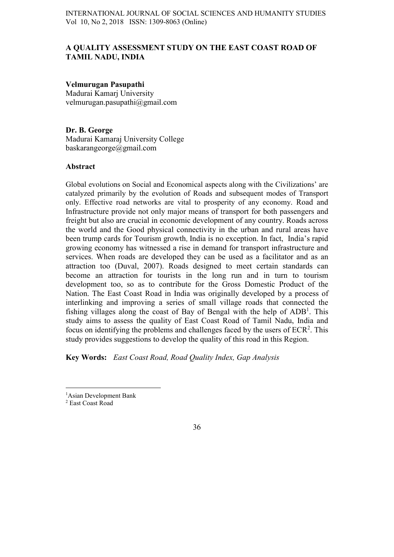# A QUALITY ASSESSMENT STUDY ON THE EAST COAST ROAD OF TAMIL NADU, INDIA

## Velmurugan Pasupathi

Madurai Kamarj University velmurugan.pasupathi@gmail.com

Dr. B. George Madurai Kamaraj University College baskarangeorge@gmail.com

### Abstract

Global evolutions on Social and Economical aspects along with the Civilizations' are catalyzed primarily by the evolution of Roads and subsequent modes of Transport only. Effective road networks are vital to prosperity of any economy. Road and Infrastructure provide not only major means of transport for both passengers and freight but also are crucial in economic development of any country. Roads across the world and the Good physical connectivity in the urban and rural areas have been trump cards for Tourism growth, India is no exception. In fact, India's rapid growing economy has witnessed a rise in demand for transport infrastructure and services. When roads are developed they can be used as a facilitator and as an attraction too (Duval, 2007). Roads designed to meet certain standards can become an attraction for tourists in the long run and in turn to tourism development too, so as to contribute for the Gross Domestic Product of the Nation. The East Coast Road in India was originally developed by a process of interlinking and improving a series of small village roads that connected the fishing villages along the coast of Bay of Bengal with the help of  $ADB<sup>1</sup>$ . This study aims to assess the quality of East Coast Road of Tamil Nadu, India and focus on identifying the problems and challenges faced by the users of  $ECR<sup>2</sup>$ . This study provides suggestions to develop the quality of this road in this Region.

Key Words: East Coast Road, Road Quality Index, Gap Analysis

 $\frac{1}{1}$ <sup>1</sup>Asian Development Bank

<sup>2</sup> East Coast Road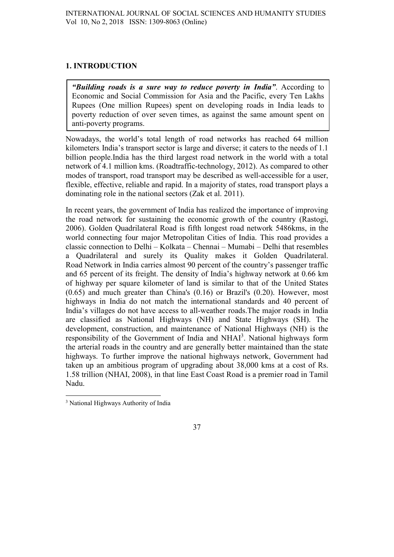# 1. INTRODUCTION

"Building roads is a sure way to reduce poverty in India". According to Economic and Social Commission for Asia and the Pacific, every Ten Lakhs Rupees (One million Rupees) spent on developing roads in India leads to poverty reduction of over seven times, as against the same amount spent on anti-poverty programs.

Nowadays, the world's total length of road networks has reached 64 million kilometers. India's transport sector is large and diverse; it caters to the needs of 1.1 billion people.India has the third largest road network in the world with a total network of 4.1 million kms. (Roadtraffic-technology, 2012). As compared to other modes of transport, road transport may be described as well-accessible for a user, flexible, effective, reliable and rapid. In a majority of states, road transport plays a dominating role in the national sectors (Zak et al. 2011).

In recent years, the government of India has realized the importance of improving the road network for sustaining the economic growth of the country (Rastogi, 2006). Golden Quadrilateral Road is fifth longest road network 5486kms, in the world connecting four major Metropolitan Cities of India. This road provides a classic connection to Delhi – Kolkata – Chennai – Mumabi – Delhi that resembles a Quadrilateral and surely its Quality makes it Golden Quadrilateral. Road Network in India carries almost 90 percent of the country's passenger traffic and 65 percent of its freight. The density of India's highway network at 0.66 km of highway per square kilometer of land is similar to that of the United States (0.65) and much greater than China's (0.16) or Brazil's (0.20). However, most highways in India do not match the international standards and 40 percent of India's villages do not have access to all-weather roads.The major roads in India are classified as National Highways (NH) and State Highways (SH). The development, construction, and maintenance of National Highways (NH) is the responsibility of the Government of India and NHAI<sup>3</sup>. National highways form the arterial roads in the country and are generally better maintained than the state highways. To further improve the national highways network, Government had taken up an ambitious program of upgrading about 38,000 kms at a cost of Rs. 1.58 trillion (NHAI, 2008), in that line East Coast Road is a premier road in Tamil Nadu.

<sup>&</sup>lt;sup>3</sup> National Highways Authority of India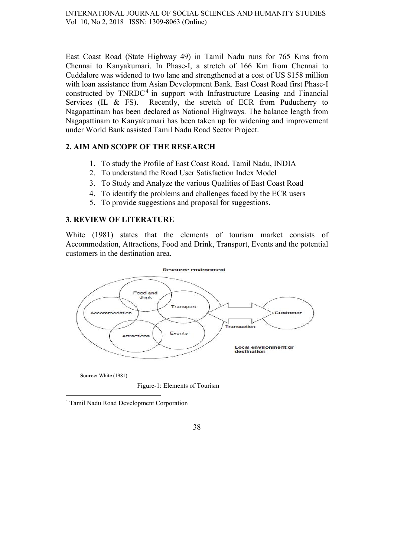East Coast Road (State Highway 49) in Tamil Nadu runs for 765 Kms from Chennai to Kanyakumari. In Phase-I, a stretch of 166 Km from Chennai to Cuddalore was widened to two lane and strengthened at a cost of US \$158 million with loan assistance from Asian Development Bank. East Coast Road first Phase-I constructed by  $TNRDC<sup>4</sup>$  in support with Infrastructure Leasing and Financial Services (IL & FS). Recently, the stretch of ECR from Puducherry to Nagapattinam has been declared as National Highways. The balance length from Nagapattinam to Kanyakumari has been taken up for widening and improvement under World Bank assisted Tamil Nadu Road Sector Project.

### 2. AIM AND SCOPE OF THE RESEARCH

- 1. To study the Profile of East Coast Road, Tamil Nadu, INDIA
- 2. To understand the Road User Satisfaction Index Model
- 3. To Study and Analyze the various Qualities of East Coast Road
- 4. To identify the problems and challenges faced by the ECR users
- 5. To provide suggestions and proposal for suggestions.

### 3. REVIEW OF LITERATURE

White (1981) states that the elements of tourism market consists of Accommodation, Attractions, Food and Drink, Transport, Events and the potential customers in the destination area.



Source: White (1981)

Figure-1: Elements of Tourism

4 Tamil Nadu Road Development Corporation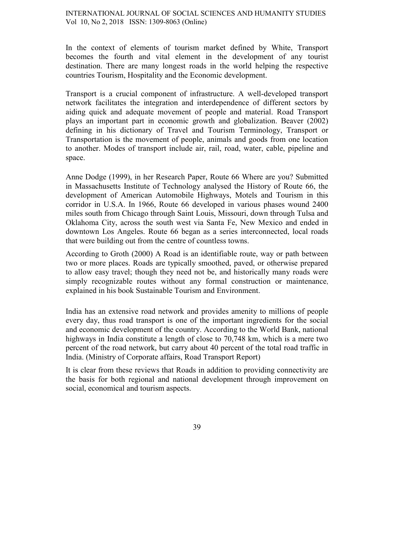In the context of elements of tourism market defined by White, Transport becomes the fourth and vital element in the development of any tourist destination. There are many longest roads in the world helping the respective countries Tourism, Hospitality and the Economic development.

Transport is a crucial component of infrastructure. A well-developed transport network facilitates the integration and interdependence of different sectors by aiding quick and adequate movement of people and material. Road Transport plays an important part in economic growth and globalization. Beaver (2002) defining in his dictionary of Travel and Tourism Terminology, Transport or Transportation is the movement of people, animals and goods from one location to another. Modes of transport include air, rail, road, water, cable, pipeline and space.

Anne Dodge (1999), in her Research Paper, Route 66 Where are you? Submitted in Massachusetts Institute of Technology analysed the History of Route 66, the development of American Automobile Highways, Motels and Tourism in this corridor in U.S.A. In 1966, Route 66 developed in various phases wound 2400 miles south from Chicago through Saint Louis, Missouri, down through Tulsa and Oklahoma City, across the south west via Santa Fe, New Mexico and ended in downtown Los Angeles. Route 66 began as a series interconnected, local roads that were building out from the centre of countless towns.

According to Groth (2000) A Road is an identifiable route, way or path between two or more places. Roads are typically smoothed, paved, or otherwise prepared to allow easy travel; though they need not be, and historically many roads were simply recognizable routes without any formal construction or maintenance, explained in his book Sustainable Tourism and Environment.

India has an extensive road network and provides amenity to millions of people every day, thus road transport is one of the important ingredients for the social and economic development of the country. According to the World Bank, national highways in India constitute a length of close to 70,748 km, which is a mere two percent of the road network, but carry about 40 percent of the total road traffic in India. (Ministry of Corporate affairs, Road Transport Report)

It is clear from these reviews that Roads in addition to providing connectivity are the basis for both regional and national development through improvement on social, economical and tourism aspects.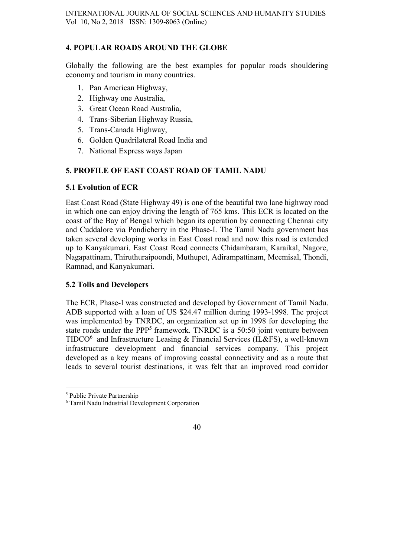# 4. POPULAR ROADS AROUND THE GLOBE

Globally the following are the best examples for popular roads shouldering economy and tourism in many countries.

- 1. Pan American Highway,
- 2. Highway one Australia,
- 3. Great Ocean Road Australia,
- 4. Trans-Siberian Highway Russia,
- 5. Trans-Canada Highway,
- 6. Golden Quadrilateral Road India and
- 7. National Express ways Japan

# 5. PROFILE OF EAST COAST ROAD OF TAMIL NADU

# 5.1 Evolution of ECR

East Coast Road (State Highway 49) is one of the beautiful two lane highway road in which one can enjoy driving the length of 765 kms. This ECR is located on the coast of the Bay of Bengal which began its operation by connecting Chennai city and Cuddalore via Pondicherry in the Phase-I. The Tamil Nadu government has taken several developing works in East Coast road and now this road is extended up to Kanyakumari. East Coast Road connects Chidambaram, Karaikal, Nagore, Nagapattinam, Thiruthuraipoondi, Muthupet, Adirampattinam, Meemisal, Thondi, Ramnad, and Kanyakumari.

### 5.2 Tolls and Developers

The ECR, Phase-I was constructed and developed by Government of Tamil Nadu. ADB supported with a loan of US \$24.47 million during 1993-1998. The project was implemented by TNRDC, an organization set up in 1998 for developing the state roads under the PPP<sup>5</sup> framework. TNRDC is a 50:50 joint venture between TIDCO<sup>6</sup> and Infrastructure Leasing & Financial Services (IL&FS), a well-known infrastructure development and financial services company. This project developed as a key means of improving coastal connectivity and as a route that leads to several tourist destinations, it was felt that an improved road corridor

 <sup>5</sup> Public Private Partnership

<sup>6</sup> Tamil Nadu Industrial Development Corporation

<sup>40</sup>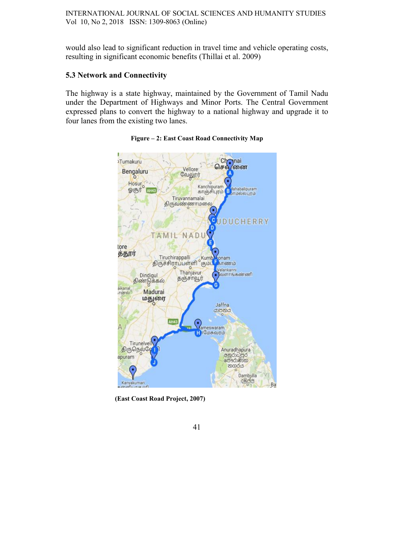would also lead to significant reduction in travel time and vehicle operating costs, resulting in significant economic benefits (Thillai et al. 2009)

### 5.3 Network and Connectivity

The highway is a state highway, maintained by the Government of Tamil Nadu under the Department of Highways and Minor Ports. The Central Government expressed plans to convert the highway to a national highway and upgrade it to four lanes from the existing two lanes.



Figure – 2: East Coast Road Connectivity Map

(East Coast Road Project, 2007)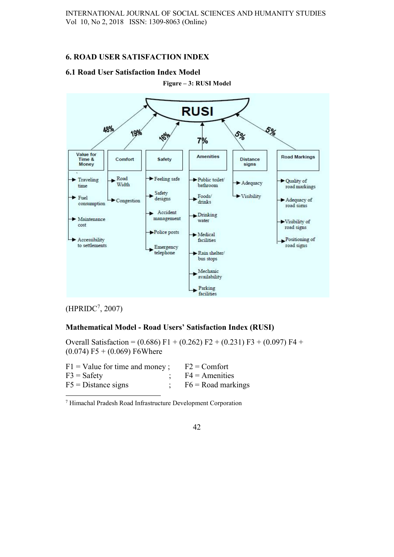## 6. ROAD USER SATISFACTION INDEX

# 6.1 Road User Satisfaction Index Model



Figure – 3: RUSI Model

# $(HPRIDC<sup>7</sup>, 2007)$

# Mathematical Model - Road Users' Satisfaction Index (RUSI)

Overall Satisfaction =  $(0.686)$  F1 +  $(0.262)$  F2 +  $(0.231)$  F3 +  $(0.097)$  F4 +  $(0.074)$  F5 +  $(0.069)$  F6Where

| $F1 =$ Value for time and money; | $F2 =$ Comfort       |
|----------------------------------|----------------------|
| $F3 =$ Safety                    | $F4 =$ Amenities     |
| $F5 = Distance$ signs            | $F6 = Road$ markings |

7 Himachal Pradesh Road Infrastructure Development Corporation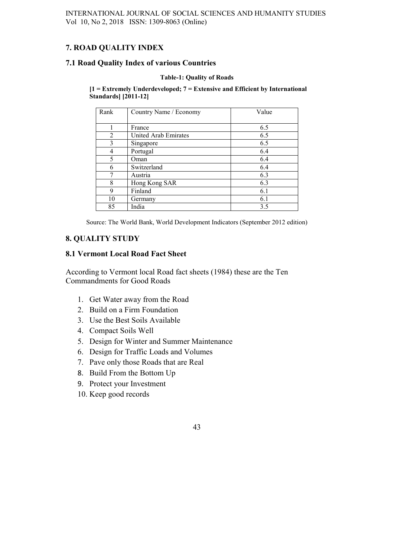# 7. ROAD QUALITY INDEX

### 7.1 Road Quality Index of various Countries

#### Table-1: Quality of Roads

 $[1 =$  Extremely Underdeveloped;  $7 =$  Extensive and Efficient by International Standards] [2011-12]

| Rank | Country Name / Economy      | Value |
|------|-----------------------------|-------|
|      |                             |       |
|      | France                      | 6.5   |
| 2    | <b>United Arab Emirates</b> | 6.5   |
| 3    | Singapore                   | 6.5   |
| 4    | Portugal                    | 6.4   |
| 5    | Oman                        | 6.4   |
| 6    | Switzerland                 | 6.4   |
| 7    | Austria                     | 6.3   |
| 8    | Hong Kong SAR               | 6.3   |
| 9    | Finland                     | 6.1   |
| 10   | Germany                     | 6.1   |
| 85   | India                       | 3.5   |

Source: The World Bank, World Development Indicators (September 2012 edition)

### 8. QUALITY STUDY

### 8.1 Vermont Local Road Fact Sheet

According to Vermont local Road fact sheets (1984) these are the Ten Commandments for Good Roads

- 1. Get Water away from the Road
- 2. Build on a Firm Foundation
- 3. Use the Best Soils Available
- 4. Compact Soils Well
- 5. Design for Winter and Summer Maintenance
- 6. Design for Traffic Loads and Volumes
- 7. Pave only those Roads that are Real
- 8. Build From the Bottom Up
- 9. Protect your Investment
- 10. Keep good records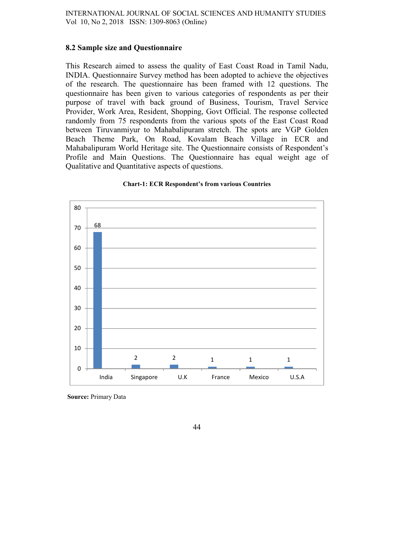### 8.2 Sample size and Questionnaire

This Research aimed to assess the quality of East Coast Road in Tamil Nadu, INDIA. Questionnaire Survey method has been adopted to achieve the objectives of the research. The questionnaire has been framed with 12 questions. The questionnaire has been given to various categories of respondents as per their purpose of travel with back ground of Business, Tourism, Travel Service Provider, Work Area, Resident, Shopping, Govt Official. The response collected randomly from 75 respondents from the various spots of the East Coast Road between Tiruvanmiyur to Mahabalipuram stretch. The spots are VGP Golden Beach Theme Park, On Road, Kovalam Beach Village in ECR and Mahabalipuram World Heritage site. The Questionnaire consists of Respondent's Profile and Main Questions. The Questionnaire has equal weight age of Qualitative and Quantitative aspects of questions.



Chart-1: ECR Respondent's from various Countries

Source: Primary Data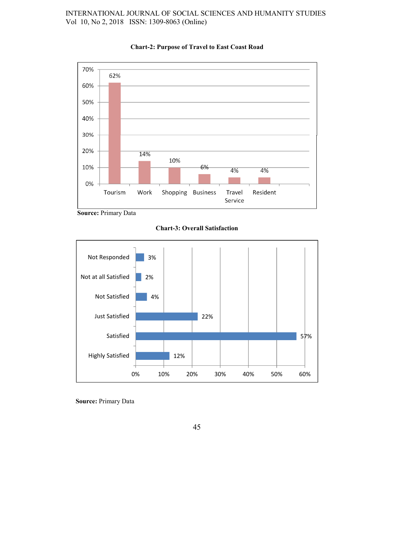### INTERNATIONAL JOURNAL OF SOCIAL SCIENCES AND HUMANITY STUDIES Vol 10, No 2, 2018 ISSN: 1309-8063 (Online)



#### Chart-2: Purpose of Travel to East Coast Road

Source: Primary Data

Chart-3: Overall Satisfaction



Source: Primary Data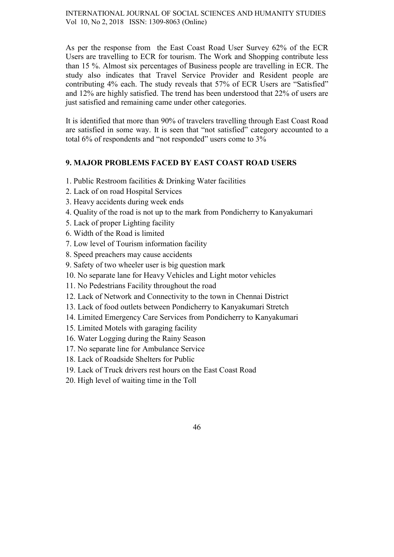As per the response from the East Coast Road User Survey 62% of the ECR Users are travelling to ECR for tourism. The Work and Shopping contribute less than 15 %. Almost six percentages of Business people are travelling in ECR. The study also indicates that Travel Service Provider and Resident people are contributing 4% each. The study reveals that 57% of ECR Users are "Satisfied" and 12% are highly satisfied. The trend has been understood that 22% of users are just satisfied and remaining came under other categories.

It is identified that more than 90% of travelers travelling through East Coast Road are satisfied in some way. It is seen that "not satisfied" category accounted to a total 6% of respondents and "not responded" users come to 3%

# 9. MAJOR PROBLEMS FACED BY EAST COAST ROAD USERS

- 1. Public Restroom facilities & Drinking Water facilities
- 2. Lack of on road Hospital Services
- 3. Heavy accidents during week ends
- 4. Quality of the road is not up to the mark from Pondicherry to Kanyakumari
- 5. Lack of proper Lighting facility
- 6. Width of the Road is limited
- 7. Low level of Tourism information facility
- 8. Speed preachers may cause accidents
- 9. Safety of two wheeler user is big question mark
- 10. No separate lane for Heavy Vehicles and Light motor vehicles
- 11. No Pedestrians Facility throughout the road
- 12. Lack of Network and Connectivity to the town in Chennai District
- 13. Lack of food outlets between Pondicherry to Kanyakumari Stretch
- 14. Limited Emergency Care Services from Pondicherry to Kanyakumari
- 15. Limited Motels with garaging facility
- 16. Water Logging during the Rainy Season
- 17. No separate line for Ambulance Service
- 18. Lack of Roadside Shelters for Public
- 19. Lack of Truck drivers rest hours on the East Coast Road
- 20. High level of waiting time in the Toll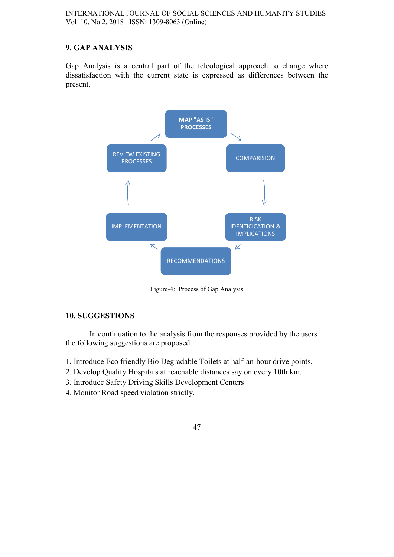# 9. GAP ANALYSIS

Gap Analysis is a central part of the teleological approach to change where dissatisfaction with the current state is expressed as differences between the present.



Figure-4: Process of Gap Analysis

### 10. SUGGESTIONS

In continuation to the analysis from the responses provided by the users the following suggestions are proposed

- 1. Introduce Eco friendly Bio Degradable Toilets at half-an-hour drive points.
- 2. Develop Quality Hospitals at reachable distances say on every 10th km.
- 3. Introduce Safety Driving Skills Development Centers
- 4. Monitor Road speed violation strictly.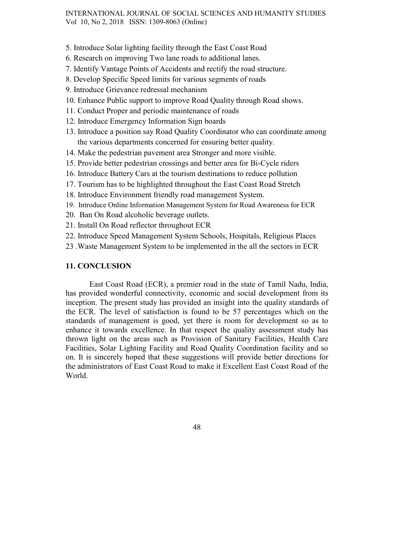#### INTERNATIONAL JOURNAL OF SOCIAL SCIENCES AND HUMANITY STUDIES Vol 10, No 2, 2018 ISSN: 1309-8063 (Online)

- 5. Introduce Solar lighting facility through the East Coast Road
- 6. Research on improving Two lane roads to additional lanes.
- 7. Identify Vantage Points of Accidents and rectify the road structure.
- 8. Develop Specific Speed limits for various segments of roads
- 9. Introduce Grievance redressal mechanism
- 10. Enhance Public support to improve Road Quality through Road shows.
- 11. Conduct Proper and periodic maintenance of roads
- 12. Introduce Emergency Information Sign boards
- 13. Introduce a position say Road Quality Coordinator who can coordinate among the various departments concerned for ensuring better quality.
- 14. Make the pedestrian pavement area Stronger and more visible.
- 15. Provide better pedestrian crossings and better area for Bi-Cycle riders
- 16. Introduce Battery Cars at the tourism destinations to reduce pollution
- 17. Tourism has to be highlighted throughout the East Coast Road Stretch
- 18. Introduce Environment friendly road management System.
- 19. Introduce Online Information Management System for Road Awareness for ECR
- 20. Ban On Road alcoholic beverage outlets.
- 21. Install On Road reflector throughout ECR
- 22. Introduce Speed Management System Schools, Hospitals, Religious Places
- 23 .Waste Management System to be implemented in the all the sectors in ECR

### 11. CONCLUSION

East Coast Road (ECR), a premier road in the state of Tamil Nadu, India, has provided wonderful connectivity, economic and social development from its inception. The present study has provided an insight into the quality standards of the ECR. The level of satisfaction is found to be 57 percentages which on the standards of management is good, yet there is room for development so as to enhance it towards excellence. In that respect the quality assessment study has thrown light on the areas such as Provision of Sanitary Facilities, Health Care Facilities, Solar Lighting Facility and Road Quality Coordination facility and so on. It is sincerely hoped that these suggestions will provide better directions for the administrators of East Coast Road to make it Excellent East Coast Road of the World.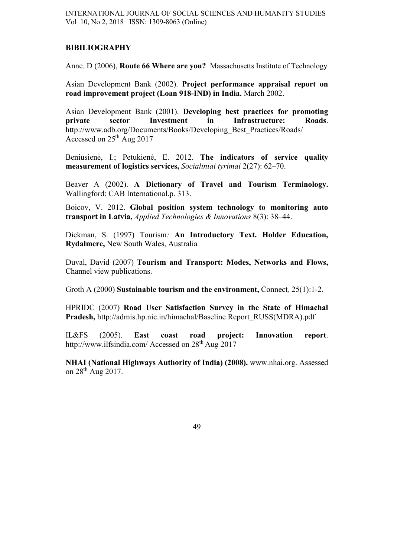### BIBILIOGRAPHY

Anne. D (2006), Route 66 Where are you? Massachusetts Institute of Technology

Asian Development Bank (2002). Project performance appraisal report on road improvement project (Loan 918-IND) in India. March 2002.

Asian Development Bank (2001). Developing best practices for promoting<br>private sector Investment in Infrastructure: Roads. private sector Investment in Infrastructure: Roads. http://www.adb.org/Documents/Books/Developing\_Best\_Practices/Roads/ Accessed on 25th Aug 2017

Beniusienė, I.; Petukienė, E. 2012. The indicators of service quality measurement of logistics services, Socialiniai tyrimai 2(27): 62–70.

Beaver A (2002). A Dictionary of Travel and Tourism Terminology. Wallingford: CAB International.p. 313.

Boicov, V. 2012. Global position system technology to monitoring auto transport in Latvia, Applied Technologies & Innovations 8(3): 38–44.

Dickman, S. (1997) Tourism: An Introductory Text. Holder Education, Rydalmere, New South Wales, Australia

Duval, David (2007) Tourism and Transport: Modes, Networks and Flows, Channel view publications.

Groth A (2000) Sustainable tourism and the environment, Connect, 25(1):1-2.

HPRIDC (2007) Road User Satisfaction Survey in the State of Himachal Pradesh, http://admis.hp.nic.in/himachal/Baseline Report\_RUSS(MDRA).pdf

IL&FS (2005). East coast road project: Innovation report. http://www.ilfsindia.com/ Accessed on 28<sup>th</sup> Aug 2017

NHAI (National Highways Authority of India) (2008). www.nhai.org. Assessed on 28th Aug 2017.